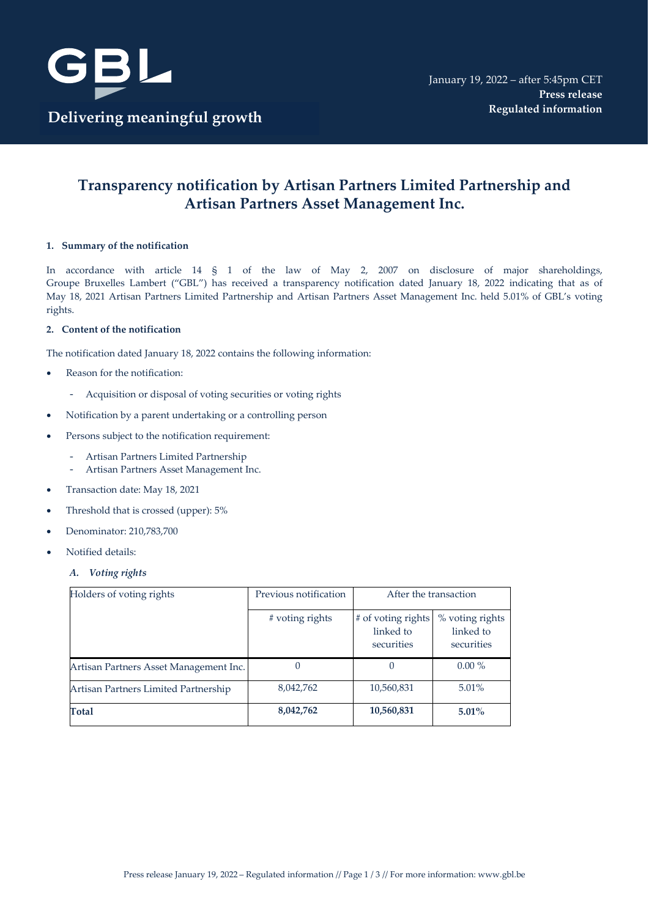

# **Transparency notification by Artisan Partners Limited Partnership and Artisan Partners Asset Management Inc.**

## **1. Summary of the notification**

In accordance with article 14 § 1 of the law of May 2, 2007 on disclosure of major shareholdings, Groupe Bruxelles Lambert ("GBL") has received a transparency notification dated January 18, 2022 indicating that as of May 18, 2021 Artisan Partners Limited Partnership and Artisan Partners Asset Management Inc. held 5.01% of GBL's voting rights.

#### **2. Content of the notification**

The notification dated January 18, 2022 contains the following information:

- Reason for the notification:
	- Acquisition or disposal of voting securities or voting rights
- Notification by a parent undertaking or a controlling person
- Persons subject to the notification requirement:
	- Artisan Partners Limited Partnership
		- Artisan Partners Asset Management Inc.
- Transaction date: May 18, 2021
- Threshold that is crossed (upper): 5%
- Denominator: 210,783,700
- Notified details:
	- *A. Voting rights*

| Holders of voting rights               | Previous notification | After the transaction                         |                                            |
|----------------------------------------|-----------------------|-----------------------------------------------|--------------------------------------------|
|                                        | # voting rights       | # of voting rights<br>linked to<br>securities | % voting rights<br>linked to<br>securities |
| Artisan Partners Asset Management Inc. |                       |                                               | $0.00\%$                                   |
| Artisan Partners Limited Partnership   | 8,042,762             | 10,560,831                                    | 5.01%                                      |
| Total                                  | 8,042,762             | 10,560,831                                    | $5.01\%$                                   |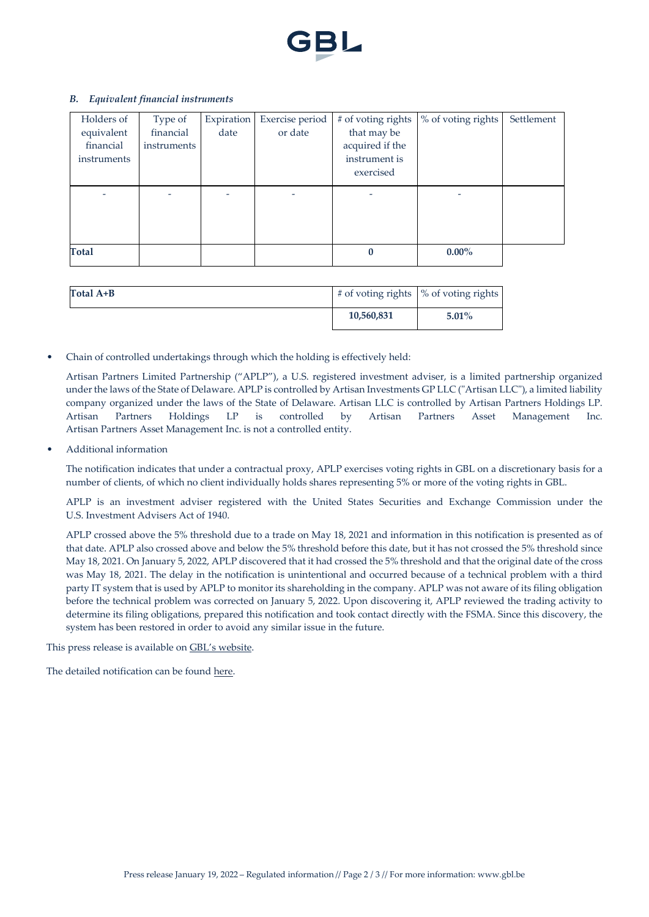

### *B. Equivalent financial instruments*

| Holders of         | Type of     | Expiration | Exercise period | # of voting rights | % of voting rights | Settlement |
|--------------------|-------------|------------|-----------------|--------------------|--------------------|------------|
| equivalent         | financial   | date       | or date         | that may be        |                    |            |
| financial          | instruments |            |                 | acquired if the    |                    |            |
| <i>instruments</i> |             |            |                 | instrument is      |                    |            |
|                    |             |            |                 | exercised          |                    |            |
|                    |             |            |                 |                    |                    |            |
|                    |             |            |                 |                    |                    |            |
|                    |             |            |                 |                    |                    |            |
|                    |             |            |                 |                    |                    |            |
|                    |             |            |                 |                    |                    |            |
| <b>Total</b>       |             |            |                 | 0                  | $0.00\%$           |            |

| Total $A+B$ | $\#$ of voting rights $\%$ of voting rights |          |
|-------------|---------------------------------------------|----------|
|             | 10,560,831                                  | $5.01\%$ |

• Chain of controlled undertakings through which the holding is effectively held:

Artisan Partners Limited Partnership ("APLP"), a U.S. registered investment adviser, is a limited partnership organized under the laws of the State of Delaware. APLP is controlled by Artisan Investments GP LLC ("Artisan LLC"), a limited liability company organized under the laws of the State of Delaware. Artisan LLC is controlled by Artisan Partners Holdings LP. Artisan Partners Holdings LP is controlled by Artisan Partners Asset Management Inc. Artisan Partners Asset Management Inc. is not a controlled entity.

• Additional information

The notification indicates that under a contractual proxy, APLP exercises voting rights in GBL on a discretionary basis for a number of clients, of which no client individually holds shares representing 5% or more of the voting rights in GBL.

APLP is an investment adviser registered with the United States Securities and Exchange Commission under the U.S. Investment Advisers Act of 1940.

APLP crossed above the 5% threshold due to a trade on May 18, 2021 and information in this notification is presented as of that date. APLP also crossed above and below the 5% threshold before this date, but it has not crossed the 5% threshold since May 18, 2021. On January 5, 2022, APLP discovered that it had crossed the 5% threshold and that the original date of the cross was May 18, 2021. The delay in the notification is unintentional and occurred because of a technical problem with a third party IT system that is used by APLP to monitor its shareholding in the company. APLP was not aware of its filing obligation before the technical problem was corrected on January 5, 2022. Upon discovering it, APLP reviewed the trading activity to determine its filing obligations, prepared this notification and took contact directly with the FSMA. Since this discovery, the system has been restored in order to avoid any similar issue in the future.

This press release is available on [GBL's website.](https://www.gbl.be/en/media-center/press-releases/filter/2019)

The detailed notification can be found [here.](https://www.gbl.be/en/media/3728/18.01.2022_GBL_Declaration_de_transparence%20-%20APLP.PDF)